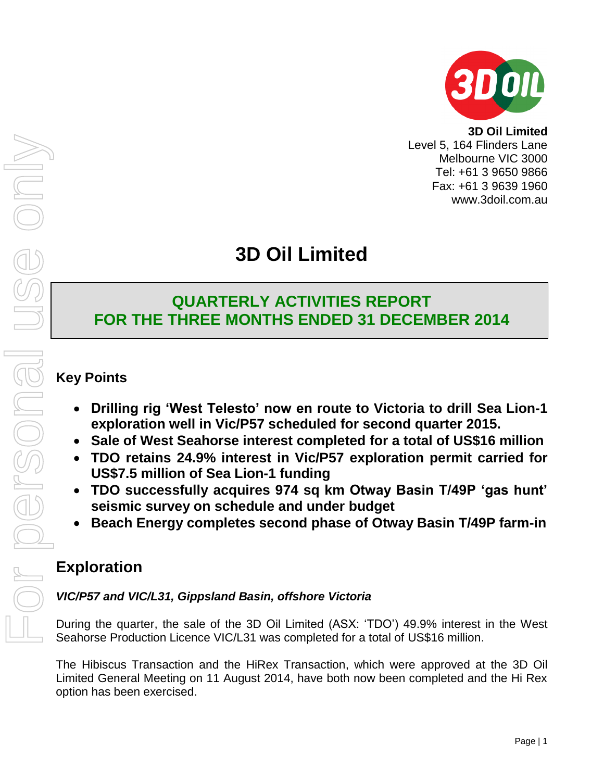

**3D Oil Limited** Level 5, 164 Flinders Lane Melbourne VIC 3000 Tel: +61 3 9650 9866 Fax: +61 3 9639 1960 www.3doil.com.au

# **3D Oil Limited**

# **QUARTERLY ACTIVITIES REPORT FOR THE THREE MONTHS ENDED 31 DECEMBER 2014**

## **Key Points**

- **Drilling rig 'West Telesto' now en route to Victoria to drill Sea Lion-1 exploration well in Vic/P57 scheduled for second quarter 2015.**
- **Sale of West Seahorse interest completed for a total of US\$16 million**
- **TDO retains 24.9% interest in Vic/P57 exploration permit carried for US\$7.5 million of Sea Lion-1 funding**
- **TDO successfully acquires 974 sq km Otway Basin T/49P 'gas hunt' seismic survey on schedule and under budget**
- **Beach Energy completes second phase of Otway Basin T/49P farm-in**

# **Exploration**

## *VIC/P57 and VIC/L31, Gippsland Basin, offshore Victoria*

During the quarter, the sale of the 3D Oil Limited (ASX: 'TDO') 49.9% interest in the West Seahorse Production Licence VIC/L31 was completed for a total of US\$16 million.

The Hibiscus Transaction and the HiRex Transaction, which were approved at the 3D Oil Limited General Meeting on 11 August 2014, have both now been completed and the Hi Rex option has been exercised.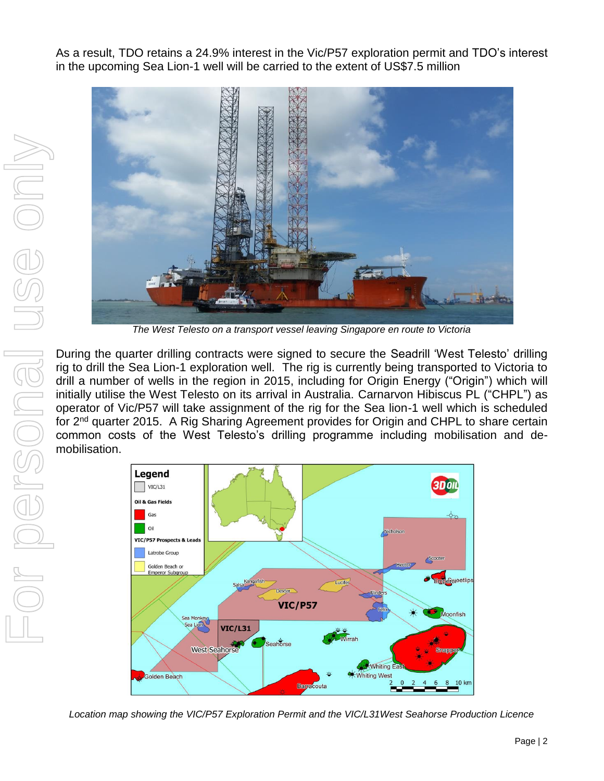As a result, TDO retains a 24.9% interest in the Vic/P57 exploration permit and TDO's interest in the upcoming Sea Lion-1 well will be carried to the extent of US\$7.5 million



*The West Telesto on a transport vessel leaving Singapore en route to Victoria*

During the quarter drilling contracts were signed to secure the Seadrill 'West Telesto' drilling rig to drill the Sea Lion-1 exploration well. The rig is currently being transported to Victoria to drill a number of wells in the region in 2015, including for Origin Energy ("Origin") which will initially utilise the West Telesto on its arrival in Australia. Carnarvon Hibiscus PL ("CHPL") as operator of Vic/P57 will take assignment of the rig for the Sea lion-1 well which is scheduled for 2nd quarter 2015. A Rig Sharing Agreement provides for Origin and CHPL to share certain common costs of the West Telesto's drilling programme including mobilisation and demobilisation.



*Location map showing the VIC/P57 Exploration Permit and the VIC/L31West Seahorse Production Licence*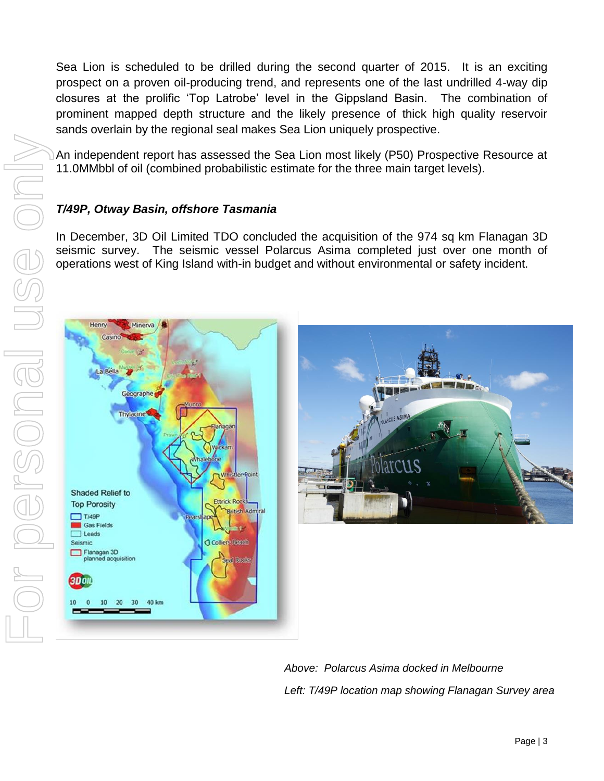Sea Lion is scheduled to be drilled during the second quarter of 2015. It is an exciting prospect on a proven oil-producing trend, and represents one of the last undrilled 4-way dip closures at the prolific 'Top Latrobe' level in the Gippsland Basin. The combination of prominent mapped depth structure and the likely presence of thick high quality reservoir sands overlain by the regional seal makes Sea Lion uniquely prospective.

An independent report has assessed the Sea Lion most likely (P50) Prospective Resource at 11.0MMbbl of oil (combined probabilistic estimate for the three main target levels).

## *T/49P, Otway Basin, offshore Tasmania*

In December, 3D Oil Limited TDO concluded the acquisition of the 974 sq km Flanagan 3D seismic survey. The seismic vessel Polarcus Asima completed just over one month of operations west of King Island with-in budget and without environmental or safety incident.





*Above: Polarcus Asima docked in Melbourne Left: T/49P location map showing Flanagan Survey area*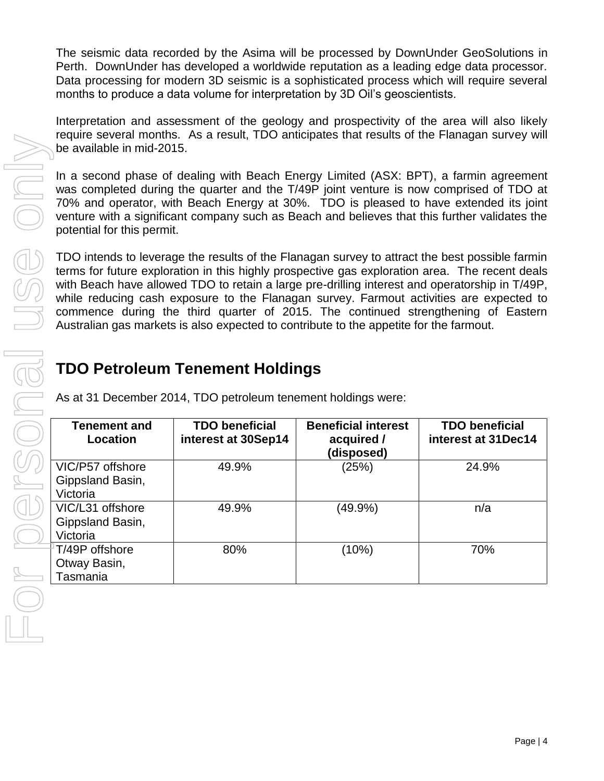The seismic data recorded by the Asima will be processed by DownUnder GeoSolutions in Perth. DownUnder has developed a worldwide reputation as a leading edge data processor. Data processing for modern 3D seismic is a sophisticated process which will require several months to produce a data volume for interpretation by 3D Oil's geoscientists.

Interpretation and assessment of the geology and prospectivity of the area will also likely require several months. As a result, TDO anticipates that results of the Flanagan survey will be available in mid-2015.

In a second phase of dealing with Beach Energy Limited (ASX: BPT), a farmin agreement was completed during the quarter and the T/49P joint venture is now comprised of TDO at 70% and operator, with Beach Energy at 30%. TDO is pleased to have extended its joint venture with a significant company such as Beach and believes that this further validates the potential for this permit.

TDO intends to leverage the results of the Flanagan survey to attract the best possible farmin terms for future exploration in this highly prospective gas exploration area. The recent deals with Beach have allowed TDO to retain a large pre-drilling interest and operatorship in T/49P, while reducing cash exposure to the Flanagan survey. Farmout activities are expected to commence during the third quarter of 2015. The continued strengthening of Eastern Australian gas markets is also expected to contribute to the appetite for the farmout.

# **TDO Petroleum Tenement Holdings**

As at 31 December 2014, TDO petroleum tenement holdings were:

| <b>Tenement and</b><br>Location                  | <b>TDO beneficial</b><br>interest at 30Sep14 | <b>Beneficial interest</b><br>acquired /<br>(disposed) | <b>TDO beneficial</b><br>interest at 31Dec14 |
|--------------------------------------------------|----------------------------------------------|--------------------------------------------------------|----------------------------------------------|
| VIC/P57 offshore<br>Gippsland Basin,<br>Victoria | 49.9%                                        | (25%)                                                  | 24.9%                                        |
| VIC/L31 offshore<br>Gippsland Basin,<br>Victoria | 49.9%                                        | $(49.9\%)$                                             | n/a                                          |
| FT/49P offshore<br>Otway Basin,<br>Tasmania      | 80%                                          | (10%)                                                  | 70%                                          |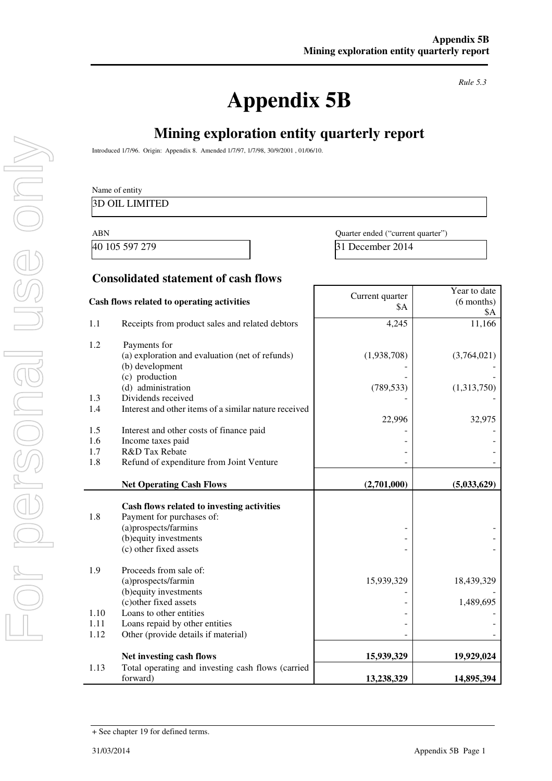# **Appendix 5B**

*Rule 5.3* 

# **Mining exploration entity quarterly report**

Introduced 1/7/96. Origin: Appendix 8. Amended 1/7/97, 1/7/98, 30/9/2001 , 01/06/10.

|              | <b>3D OIL LIMITED</b>                                                                                                                               |                                   |                                     |
|--------------|-----------------------------------------------------------------------------------------------------------------------------------------------------|-----------------------------------|-------------------------------------|
| <b>ABN</b>   |                                                                                                                                                     | Quarter ended ("current quarter") |                                     |
|              | 40 105 597 279                                                                                                                                      | 31 December 2014                  |                                     |
|              | <b>Consolidated statement of cash flows</b>                                                                                                         |                                   |                                     |
|              | Cash flows related to operating activities                                                                                                          | Current quarter<br>\$Α            | Year to date<br>$(6$ months)<br>\$Α |
| 1.1          | Receipts from product sales and related debtors                                                                                                     | 4,245                             | 11,166                              |
| 1.2          | Payments for<br>(a) exploration and evaluation (net of refunds)<br>(b) development                                                                  | (1,938,708)                       | (3,764,021)                         |
| 1.3          | (c) production<br>(d) administration<br>Dividends received                                                                                          | (789, 533)                        | (1,313,750)                         |
| 1.4          | Interest and other items of a similar nature received                                                                                               | 22,996                            | 32,975                              |
| 1.5<br>1.6   | Interest and other costs of finance paid<br>Income taxes paid                                                                                       |                                   |                                     |
| 1.7          | R&D Tax Rebate                                                                                                                                      |                                   |                                     |
| 1.8          | Refund of expenditure from Joint Venture                                                                                                            |                                   |                                     |
|              | <b>Net Operating Cash Flows</b>                                                                                                                     | (2,701,000)                       | (5,033,629)                         |
| 1.8          | Cash flows related to investing activities<br>Payment for purchases of:<br>(a)prospects/farmins<br>(b) equity investments<br>(c) other fixed assets |                                   |                                     |
| 1.9          | Proceeds from sale of:<br>(a)prospects/farmin<br>(b) equity investments                                                                             | 15,939,329                        | 18,439,329                          |
|              | (c) other fixed assets                                                                                                                              |                                   | 1,489,695                           |
| 1.10<br>1.11 | Loans to other entities<br>Loans repaid by other entities                                                                                           |                                   |                                     |
| 1.12         | Other (provide details if material)                                                                                                                 |                                   |                                     |
|              | Net investing cash flows                                                                                                                            | 15,939,329                        | 19,929,024                          |
| 1.13         | Total operating and investing cash flows (carried<br>forward)                                                                                       | 13,238,329                        | 14,895,394                          |

USG ONN

<sup>+</sup> See chapter 19 for defined terms.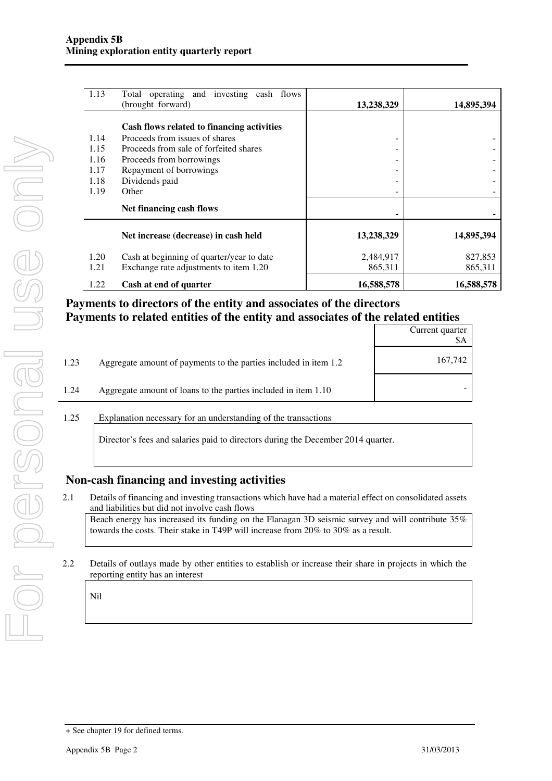| 1.13 | Total operating and investing cash flows   |            |            |
|------|--------------------------------------------|------------|------------|
|      | (brought forward)                          | 13,238,329 | 14,895,394 |
|      | Cash flows related to financing activities |            |            |
| 1.14 | Proceeds from issues of shares             | -          |            |
| 1.15 | Proceeds from sale of forfeited shares     |            |            |
| 1.16 | Proceeds from borrowings                   |            |            |
| 1.17 | Repayment of borrowings                    |            |            |
| 1.18 | Dividends paid                             |            |            |
| 1.19 | Other                                      |            |            |
|      | Net financing cash flows                   |            |            |
|      | Net increase (decrease) in cash held       | 13,238,329 | 14,895,394 |
| 1.20 | Cash at beginning of quarter/year to date  | 2,484,917  | 827,853    |
| 1.21 | Exchange rate adjustments to item 1.20     | 865,311    | 865,311    |
| 1.22 | Cash at end of quarter                     | 16,588,578 | 16,588,578 |

## **Payments to directors of the entity and associates of the directors Payments to related entities of the entity and associates of the related entities**

|      |                                                                  | Current quarter<br>\$A |
|------|------------------------------------------------------------------|------------------------|
| 1.23 | Aggregate amount of payments to the parties included in item 1.2 | 167,742                |
| 1.24 | Aggregate amount of loans to the parties included in item 1.10   |                        |
|      |                                                                  |                        |

#### 1.25 Explanation necessary for an understanding of the transactions

Director's fees and salaries paid to directors during the December 2014 quarter.

#### **Non-cash financing and investing activities**

- 2.1 Details of financing and investing transactions which have had a material effect on consolidated assets and liabilities but did not involve cash flows Beach energy has increased its funding on the Flanagan 3D seismic survey and will contribute 35% towards the costs. Their stake in T49P will increase from 20% to 30% as a result.
- 2.2 Details of outlays made by other entities to establish or increase their share in projects in which the reporting entity has an interest

Nil

<sup>+</sup> See chapter 19 for defined terms.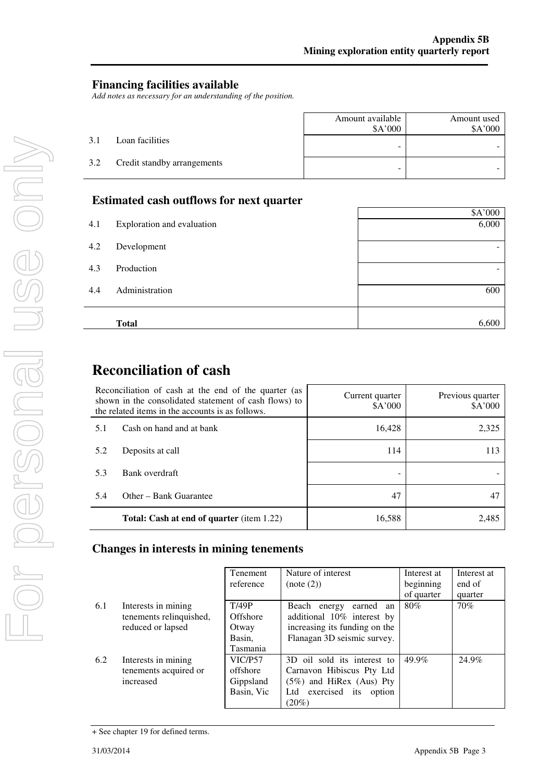#### **Financing facilities available**

*Add notes as necessary for an understanding of the position.* 

|     |                             | Amount available<br>\$A'000 | Amount used<br>\$A'000 |
|-----|-----------------------------|-----------------------------|------------------------|
| 3.1 | Loan facilities             | -                           |                        |
| 3.2 | Credit standby arrangements | -                           |                        |

#### **Estimated cash outflows for next quarter**

|     | <b>Total</b>               | 6,600                    |
|-----|----------------------------|--------------------------|
|     |                            |                          |
| 4.4 | Administration             | 600                      |
| 4.3 | Production                 | $\overline{\phantom{0}}$ |
| 4.2 | Development                | $\overline{\phantom{0}}$ |
|     |                            |                          |
| 4.1 | Exploration and evaluation | 6,000                    |
|     |                            | \$A'000                  |

# **Reconciliation of cash**

| Reconciliation of cash at the end of the quarter (as<br>shown in the consolidated statement of cash flows) to<br>the related items in the accounts is as follows. |                                                  | Current quarter<br>\$A'000 | Previous quarter<br>\$A'000 |
|-------------------------------------------------------------------------------------------------------------------------------------------------------------------|--------------------------------------------------|----------------------------|-----------------------------|
| 5.1                                                                                                                                                               | Cash on hand and at bank                         | 16,428                     | 2,325                       |
| 5.2                                                                                                                                                               | Deposits at call                                 | 114                        | 113                         |
| 5.3                                                                                                                                                               | Bank overdraft                                   |                            |                             |
| 5.4                                                                                                                                                               | Other – Bank Guarantee                           | 47                         |                             |
|                                                                                                                                                                   | <b>Total: Cash at end of quarter</b> (item 1.22) | 16,588                     | 2.485                       |

## **Changes in interests in mining tenements**

|     |                         | Tenement   | Nature of interest                | Interest at | Interest at |
|-----|-------------------------|------------|-----------------------------------|-------------|-------------|
|     |                         | reference  | (note (2))                        | beginning   | end of      |
|     |                         |            |                                   | of quarter  | quarter     |
| 6.1 | Interests in mining     | T/49P      | Beach energy<br>earned<br>an      | 80%         | 70%         |
|     | tenements relinquished, | Offshore   | additional 10% interest by        |             |             |
|     | reduced or lapsed       | Otway      | increasing its funding on the     |             |             |
|     |                         | Basin.     | Flanagan 3D seismic survey.       |             |             |
|     |                         | Tasmania   |                                   |             |             |
| 6.2 | Interests in mining     | VIC/P57    | 3D oil sold its interest to       | 49.9%       | 24.9%       |
|     | tenements acquired or   | offshore   | Carnavon Hibiscus Pty Ltd         |             |             |
|     | increased               | Gippsland  | $(5%)$ and HiRex (Aus) Pty        |             |             |
|     |                         | Basin, Vic | exercised<br>Ltd<br>its<br>option |             |             |
|     |                         |            | $(20\%)$                          |             |             |

<sup>+</sup> See chapter 19 for defined terms.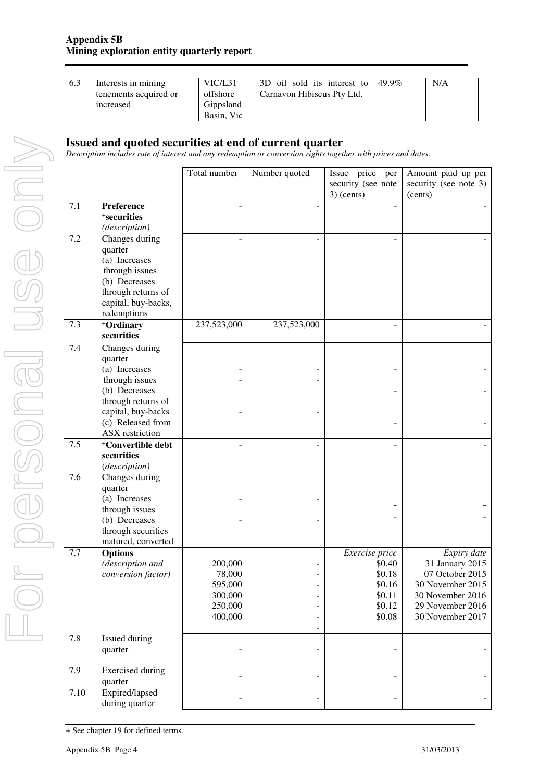| VIC/L31    | 3D oil sold its interest to $\frac{49.9\%}{ }$ | N/A |
|------------|------------------------------------------------|-----|
| offshore   | Carnavon Hibiscus Pty Ltd.                     |     |
| Gippsland  |                                                |     |
| Basin, Vic |                                                |     |

#### **Issued and quoted securities at end of current quarter**

*Description includes rate of interest and any redemption or conversion rights together with prices and dates.* 

|      |                               | Total number | Number quoted            | Issue price per<br>security (see note<br>$3)$ (cents) | Amount paid up per<br>security (see note 3)<br>(cents) |
|------|-------------------------------|--------------|--------------------------|-------------------------------------------------------|--------------------------------------------------------|
| 7.1  | Preference                    |              |                          |                                                       |                                                        |
|      | <sup>+</sup> securities       |              |                          |                                                       |                                                        |
|      | (description)                 |              |                          |                                                       |                                                        |
| 7.2  | Changes during                |              |                          |                                                       |                                                        |
|      | quarter                       |              |                          |                                                       |                                                        |
|      | (a) Increases                 |              |                          |                                                       |                                                        |
|      | through issues                |              |                          |                                                       |                                                        |
|      | (b) Decreases                 |              |                          |                                                       |                                                        |
|      | through returns of            |              |                          |                                                       |                                                        |
|      | capital, buy-backs,           |              |                          |                                                       |                                                        |
|      | redemptions                   |              |                          |                                                       |                                                        |
| 7.3  | +Ordinary                     | 237,523,000  | 237,523,000              |                                                       |                                                        |
|      | securities                    |              |                          |                                                       |                                                        |
| 7.4  | Changes during                |              |                          |                                                       |                                                        |
|      | quarter                       |              |                          |                                                       |                                                        |
|      | (a) Increases                 |              |                          |                                                       |                                                        |
|      | through issues                |              |                          |                                                       |                                                        |
|      | (b) Decreases                 |              |                          |                                                       |                                                        |
|      | through returns of            |              |                          |                                                       |                                                        |
|      | capital, buy-backs            |              |                          |                                                       |                                                        |
|      | (c) Released from             |              |                          |                                                       |                                                        |
|      | <b>ASX</b> restriction        |              |                          |                                                       |                                                        |
| 7.5  | <sup>+</sup> Convertible debt |              |                          |                                                       |                                                        |
|      | securities                    |              |                          |                                                       |                                                        |
|      | (description)                 |              |                          |                                                       |                                                        |
| 7.6  | Changes during                |              |                          |                                                       |                                                        |
|      | quarter                       |              |                          |                                                       |                                                        |
|      | (a) Increases                 |              |                          |                                                       |                                                        |
|      | through issues                |              |                          |                                                       |                                                        |
|      | (b) Decreases                 |              |                          |                                                       |                                                        |
|      | through securities            |              |                          |                                                       |                                                        |
|      | matured, converted            |              |                          |                                                       |                                                        |
| 7.7  | <b>Options</b>                |              |                          | Exercise price                                        | Expiry date                                            |
|      | (description and              | 200,000      |                          | \$0.40                                                | 31 January 2015                                        |
|      | conversion factor)            | 78,000       |                          | \$0.18                                                | 07 October 2015                                        |
|      |                               | 595,000      | $\overline{a}$           | \$0.16                                                | 30 November 2015                                       |
|      |                               | 300,000      |                          | \$0.11                                                | 30 November 2016                                       |
|      |                               | 250,000      | $\overline{\phantom{0}}$ | \$0.12                                                | 29 November 2016                                       |
|      |                               | 400,000      | -                        | \$0.08                                                | 30 November 2017                                       |
| 7.8  |                               |              | $\overline{\phantom{0}}$ |                                                       |                                                        |
|      | Issued during                 |              | ÷,                       |                                                       |                                                        |
|      | quarter                       |              |                          |                                                       |                                                        |
| 7.9  | <b>Exercised</b> during       |              |                          |                                                       |                                                        |
|      | quarter                       |              | $\overline{\phantom{0}}$ |                                                       |                                                        |
| 7.10 | Expired/lapsed                |              |                          |                                                       |                                                        |
|      | during quarter                |              | $\overline{a}$           |                                                       |                                                        |

<sup>+</sup> See chapter 19 for defined terms.